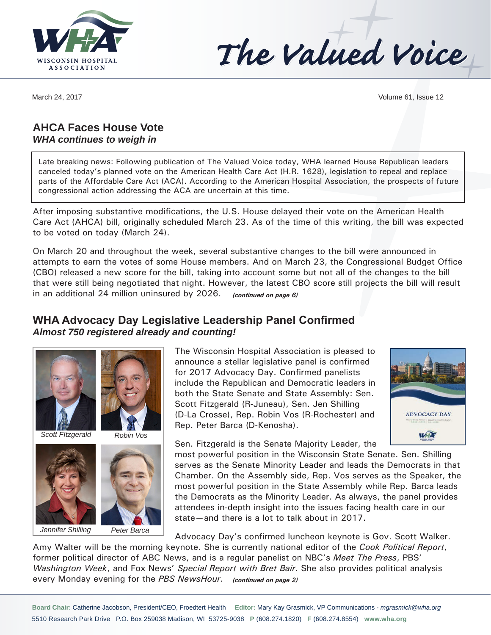

The Valued Voice

March 24, 2017 **Volume 61, Issue 12** 

## **AHCA Faces House Vote**  *WHA continues to weigh in*

Late breaking news: Following publication of The Valued Voice today, WHA learned House Republican leaders canceled today's planned vote on the American Health Care Act (H.R. 1628), legislation to repeal and replace parts of the Affordable Care Act (ACA). According to the American Hospital Association, the prospects of future congressional action addressing the ACA are uncertain at this time.

After imposing substantive modifications, the U.S. House delayed their vote on the American Health Care Act (AHCA) bill, originally scheduled March 23. As of the time of this writing, the bill was expected to be voted on today (March 24).

On March 20 and throughout the week, several substantive changes to the bill were announced in attempts to earn the votes of some House members. And on March 23, the Congressional Budget Office (CBO) released a new score for the bill, taking into account some but not all of the changes to the bill that were still being negotiated that night. However, the latest CBO score still projects the bill will result in an additional 24 million uninsured by 2026. *(continued on page 6)*

## **WHA Advocacy Day Legislative Leadership Panel Confirmed** *Almost 750 registered already and counting!*



*Scott FItzgerald*



*Peter Barca*



*Jennifer Shilling*

The Wisconsin Hospital Association is pleased to announce a stellar legislative panel is confirmed for 2017 Advocacy Day. Confirmed panelists include the Republican and Democratic leaders in both the State Senate and State Assembly: Sen. Scott Fitzgerald (R-Juneau), Sen. Jen Shilling (D-La Crosse), Rep. Robin Vos (R-Rochester) and Rep. Peter Barca (D-Kenosha).



Sen. Fitzgerald is the Senate Majority Leader, the

most powerful position in the Wisconsin State Senate. Sen. Shilling serves as the Senate Minority Leader and leads the Democrats in that Chamber. On the Assembly side, Rep. Vos serves as the Speaker, the most powerful position in the State Assembly while Rep. Barca leads the Democrats as the Minority Leader. As always, the panel provides attendees in-depth insight into the issues facing health care in our state—and there is a lot to talk about in 2017.

Advocacy Day's confirmed luncheon keynote is Gov. Scott Walker.

Amy Walter will be the morning keynote. She is currently national editor of the *Cook Political Report*, former political director of ABC News, and is a regular panelist on NBC's *Meet The Press*, PBS' *Washington Week*, and Fox News' *Special Report with Bret Bair*. She also provides political analysis every Monday evening for the *PBS NewsHour*. *(continued on page 2)*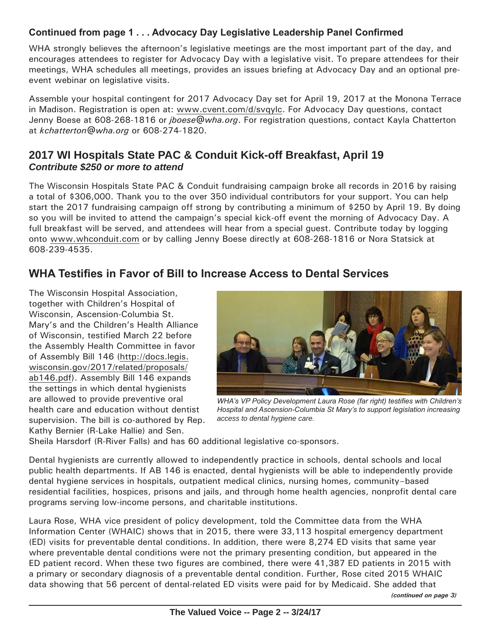## **Continued from page 1 . . . Advocacy Day Legislative Leadership Panel Confirmed**

WHA strongly believes the afternoon's legislative meetings are the most important part of the day, and encourages attendees to register for Advocacy Day with a legislative visit. To prepare attendees for their meetings, WHA schedules all meetings, provides an issues briefing at Advocacy Day and an optional preevent webinar on legislative visits.

Assemble your hospital contingent for 2017 Advocacy Day set for April 19, 2017 at the Monona Terrace in Madison. Registration is open at: www.cvent.com/d/svqylc. For Advocacy Day questions, contact Jenny Boese at 608-268-1816 or *jboese@wha.org*. For registration questions, contact Kayla Chatterton at *kchatterton@wha.org* or 608-274-1820.

## **2017 WI Hospitals State PAC & Conduit Kick-off Breakfast, April 19** *Contribute \$250 or more to attend*

The Wisconsin Hospitals State PAC & Conduit fundraising campaign broke all records in 2016 by raising a total of \$306,000. Thank you to the over 350 individual contributors for your support. You can help start the 2017 fundraising campaign off strong by contributing a minimum of \$250 by April 19. By doing so you will be invited to attend the campaign's special kick-off event the morning of Advocacy Day. A full breakfast will be served, and attendees will hear from a special guest. Contribute today by logging onto www.whconduit.com or by calling Jenny Boese directly at 608-268-1816 or Nora Statsick at 608-239-4535.

# **WHA Testifies in Favor of Bill to Increase Access to Dental Services**

The Wisconsin Hospital Association, together with Children's Hospital of Wisconsin, Ascension-Columbia St. Mary's and the Children's Health Alliance of Wisconsin, testified March 22 before the Assembly Health Committee in favor of Assembly Bill 146 (http://docs.legis. wisconsin.gov/2017/related/proposals/ ab146.pdf). Assembly Bill 146 expands the settings in which dental hygienists are allowed to provide preventive oral health care and education without dentist supervision. The bill is co-authored by Rep. Kathy Bernier (R-Lake Hallie) and Sen.



*WHA's VP Policy Development Laura Rose (far right) testifies with Children's Hospital and Ascension-Columbia St Mary's to support legislation increasing access to dental hygiene care.*

Sheila Harsdorf (R-River Falls) and has 60 additional legislative co-sponsors.

Dental hygienists are currently allowed to independently practice in schools, dental schools and local public health departments. If AB 146 is enacted, dental hygienists will be able to independently provide dental hygiene services in hospitals, outpatient medical clinics, nursing homes, community–based residential facilities, hospices, prisons and jails, and through home health agencies, nonprofit dental care programs serving low-income persons, and charitable institutions.

Laura Rose, WHA vice president of policy development, told the Committee data from the WHA Information Center (WHAIC) shows that in 2015, there were 33,113 hospital emergency department (ED) visits for preventable dental conditions. In addition, there were 8,274 ED visits that same year where preventable dental conditions were not the primary presenting condition, but appeared in the ED patient record. When these two figures are combined, there were 41,387 ED patients in 2015 with a primary or secondary diagnosis of a preventable dental condition. Further, Rose cited 2015 WHAIC data showing that 56 percent of dental-related ED visits were paid for by Medicaid. She added that

*(continued on page 3)*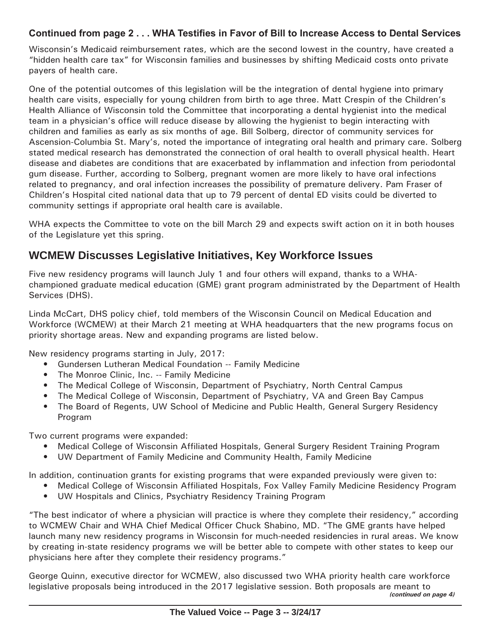#### **Continued from page 2 . . . WHA Testifies in Favor of Bill to Increase Access to Dental Services**

Wisconsin's Medicaid reimbursement rates, which are the second lowest in the country, have created a "hidden health care tax" for Wisconsin families and businesses by shifting Medicaid costs onto private payers of health care.

One of the potential outcomes of this legislation will be the integration of dental hygiene into primary health care visits, especially for young children from birth to age three. Matt Crespin of the Children's Health Alliance of Wisconsin told the Committee that incorporating a dental hygienist into the medical team in a physician's office will reduce disease by allowing the hygienist to begin interacting with children and families as early as six months of age. Bill Solberg, director of community services for Ascension-Columbia St. Mary's, noted the importance of integrating oral health and primary care. Solberg stated medical research has demonstrated the connection of oral health to overall physical health. Heart disease and diabetes are conditions that are exacerbated by inflammation and infection from periodontal gum disease. Further, according to Solberg, pregnant women are more likely to have oral infections related to pregnancy, and oral infection increases the possibility of premature delivery. Pam Fraser of Children's Hospital cited national data that up to 79 percent of dental ED visits could be diverted to community settings if appropriate oral health care is available.

WHA expects the Committee to vote on the bill March 29 and expects swift action on it in both houses of the Legislature yet this spring.

# **WCMEW Discusses Legislative Initiatives, Key Workforce Issues**

Five new residency programs will launch July 1 and four others will expand, thanks to a WHAchampioned graduate medical education (GME) grant program administrated by the Department of Health Services (DHS).

Linda McCart, DHS policy chief, told members of the Wisconsin Council on Medical Education and Workforce (WCMEW) at their March 21 meeting at WHA headquarters that the new programs focus on priority shortage areas. New and expanding programs are listed below.

New residency programs starting in July, 2017:

- Gundersen Lutheran Medical Foundation -- Family Medicine
- The Monroe Clinic, Inc. -- Family Medicine
- The Medical College of Wisconsin, Department of Psychiatry, North Central Campus
- The Medical College of Wisconsin, Department of Psychiatry, VA and Green Bay Campus
- The Board of Regents, UW School of Medicine and Public Health, General Surgery Residency Program

Two current programs were expanded:

- Medical College of Wisconsin Affiliated Hospitals, General Surgery Resident Training Program
- UW Department of Family Medicine and Community Health, Family Medicine

In addition, continuation grants for existing programs that were expanded previously were given to:

- Medical College of Wisconsin Affiliated Hospitals, Fox Valley Family Medicine Residency Program
- UW Hospitals and Clinics, Psychiatry Residency Training Program

"The best indicator of where a physician will practice is where they complete their residency," according to WCMEW Chair and WHA Chief Medical Officer Chuck Shabino, MD. "The GME grants have helped launch many new residency programs in Wisconsin for much-needed residencies in rural areas. We know by creating in-state residency programs we will be better able to compete with other states to keep our physicians here after they complete their residency programs."

George Quinn, executive director for WCMEW, also discussed two WHA priority health care workforce legislative proposals being introduced in the 2017 legislative session. Both proposals are meant to *(continued on page 4)*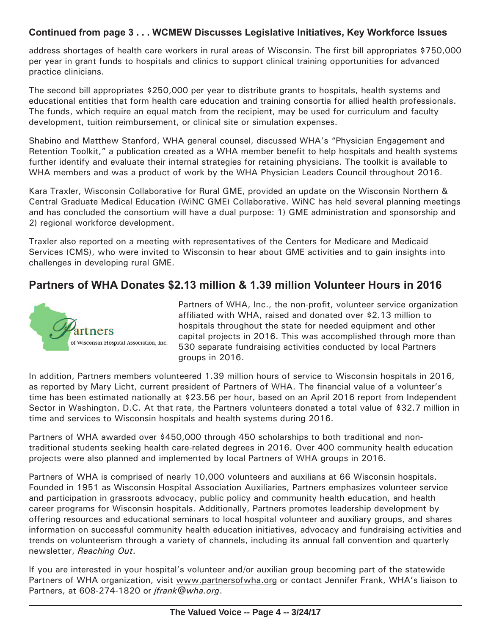#### **Continued from page 3 . . . WCMEW Discusses Legislative Initiatives, Key Workforce Issues**

address shortages of health care workers in rural areas of Wisconsin. The first bill appropriates \$750,000 per year in grant funds to hospitals and clinics to support clinical training opportunities for advanced practice clinicians.

The second bill appropriates \$250,000 per year to distribute grants to hospitals, health systems and educational entities that form health care education and training consortia for allied health professionals. The funds, which require an equal match from the recipient, may be used for curriculum and faculty development, tuition reimbursement, or clinical site or simulation expenses.

Shabino and Matthew Stanford, WHA general counsel, discussed WHA's "Physician Engagement and Retention Toolkit," a publication created as a WHA member benefit to help hospitals and health systems further identify and evaluate their internal strategies for retaining physicians. The toolkit is available to WHA members and was a product of work by the WHA Physician Leaders Council throughout 2016.

Kara Traxler, Wisconsin Collaborative for Rural GME, provided an update on the Wisconsin Northern & Central Graduate Medical Education (WiNC GME) Collaborative. WiNC has held several planning meetings and has concluded the consortium will have a dual purpose: 1) GME administration and sponsorship and 2) regional workforce development.

Traxler also reported on a meeting with representatives of the Centers for Medicare and Medicaid Services (CMS), who were invited to Wisconsin to hear about GME activities and to gain insights into challenges in developing rural GME.

# **Partners of WHA Donates \$2.13 million & 1.39 million Volunteer Hours in 2016**



Partners of WHA, Inc., the non-profit, volunteer service organization affiliated with WHA, raised and donated over \$2.13 million to hospitals throughout the state for needed equipment and other capital projects in 2016. This was accomplished through more than 530 separate fundraising activities conducted by local Partners groups in 2016.

In addition, Partners members volunteered 1.39 million hours of service to Wisconsin hospitals in 2016, as reported by Mary Licht, current president of Partners of WHA. The financial value of a volunteer's time has been estimated nationally at \$23.56 per hour, based on an April 2016 report from Independent Sector in Washington, D.C. At that rate, the Partners volunteers donated a total value of \$32.7 million in time and services to Wisconsin hospitals and health systems during 2016.

Partners of WHA awarded over \$450,000 through 450 scholarships to both traditional and nontraditional students seeking health care-related degrees in 2016. Over 400 community health education projects were also planned and implemented by local Partners of WHA groups in 2016.

Partners of WHA is comprised of nearly 10,000 volunteers and auxilians at 66 Wisconsin hospitals. Founded in 1951 as Wisconsin Hospital Association Auxiliaries, Partners emphasizes volunteer service and participation in grassroots advocacy, public policy and community health education, and health career programs for Wisconsin hospitals. Additionally, Partners promotes leadership development by offering resources and educational seminars to local hospital volunteer and auxiliary groups, and shares information on successful community health education initiatives, advocacy and fundraising activities and trends on volunteerism through a variety of channels, including its annual fall convention and quarterly newsletter, *Reaching Out*.

If you are interested in your hospital's volunteer and/or auxilian group becoming part of the statewide Partners of WHA organization, visit www.partnersofwha.org or contact Jennifer Frank, WHA's liaison to Partners, at 608-274-1820 or *jfrank@wha.org*.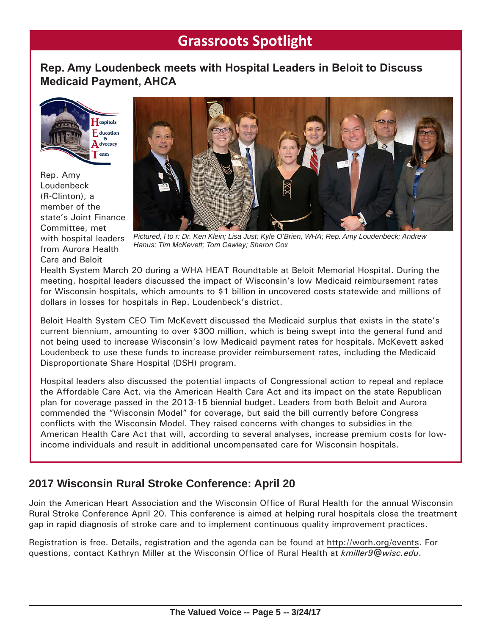# **Grassroots Spotlight**

## **Rep. Amy Loudenbeck meets with Hospital Leaders in Beloit to Discuss Medicaid Payment, AHCA**



Rep. Amy Loudenbeck (R-Clinton), a member of the state's Joint Finance Committee, met with hospital leaders from Aurora Health Care and Beloit



*Pictured, l to r: Dr. Ken Klein; Lisa Just; Kyle O'Brien, WHA; Rep. Amy Loudenbeck; Andrew Hanus; Tim McKevett; Tom Cawley; Sharon Cox*

Health System March 20 during a WHA HEAT Roundtable at Beloit Memorial Hospital. During the meeting, hospital leaders discussed the impact of Wisconsin's low Medicaid reimbursement rates for Wisconsin hospitals, which amounts to \$1 billion in uncovered costs statewide and millions of dollars in losses for hospitals in Rep. Loudenbeck's district.

Beloit Health System CEO Tim McKevett discussed the Medicaid surplus that exists in the state's current biennium, amounting to over \$300 million, which is being swept into the general fund and not being used to increase Wisconsin's low Medicaid payment rates for hospitals. McKevett asked Loudenbeck to use these funds to increase provider reimbursement rates, including the Medicaid Disproportionate Share Hospital (DSH) program.

Hospital leaders also discussed the potential impacts of Congressional action to repeal and replace the Affordable Care Act, via the American Health Care Act and its impact on the state Republican plan for coverage passed in the 2013-15 biennial budget. Leaders from both Beloit and Aurora commended the "Wisconsin Model" for coverage, but said the bill currently before Congress conflicts with the Wisconsin Model. They raised concerns with changes to subsidies in the American Health Care Act that will, according to several analyses, increase premium costs for lowincome individuals and result in additional uncompensated care for Wisconsin hospitals.

# **2017 Wisconsin Rural Stroke Conference: April 20**

Join the American Heart Association and the Wisconsin Office of Rural Health for the annual Wisconsin Rural Stroke Conference April 20. This conference is aimed at helping rural hospitals close the treatment gap in rapid diagnosis of stroke care and to implement continuous quality improvement practices.

Registration is free. Details, registration and the agenda can be found at http://worh.org/events. For questions, contact Kathryn Miller at the Wisconsin Office of Rural Health at *kmiller9@wisc.edu*.